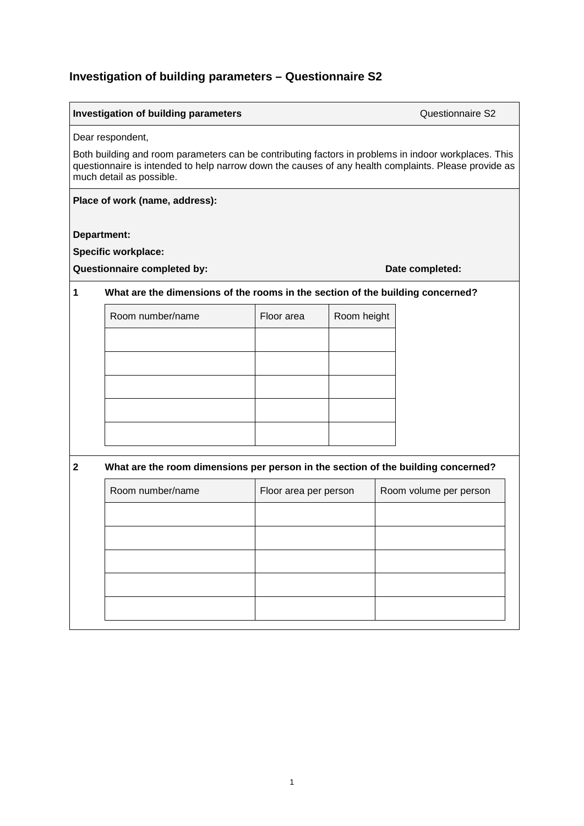## **Investigation of building parameters – Questionnaire S2**

|                                                                                                                                                                                                                                                              | Investigation of building parameters                                              |                       |             |  | Questionnaire S2       |
|--------------------------------------------------------------------------------------------------------------------------------------------------------------------------------------------------------------------------------------------------------------|-----------------------------------------------------------------------------------|-----------------------|-------------|--|------------------------|
| Dear respondent,<br>Both building and room parameters can be contributing factors in problems in indoor workplaces. This<br>questionnaire is intended to help narrow down the causes of any health complaints. Please provide as<br>much detail as possible. |                                                                                   |                       |             |  |                        |
|                                                                                                                                                                                                                                                              | Place of work (name, address):                                                    |                       |             |  |                        |
| Department:                                                                                                                                                                                                                                                  | <b>Specific workplace:</b><br>Questionnaire completed by:                         |                       |             |  | Date completed:        |
| 1                                                                                                                                                                                                                                                            | What are the dimensions of the rooms in the section of the building concerned?    |                       |             |  |                        |
|                                                                                                                                                                                                                                                              | Room number/name                                                                  | Floor area            | Room height |  |                        |
|                                                                                                                                                                                                                                                              |                                                                                   |                       |             |  |                        |
|                                                                                                                                                                                                                                                              |                                                                                   |                       |             |  |                        |
|                                                                                                                                                                                                                                                              |                                                                                   |                       |             |  |                        |
|                                                                                                                                                                                                                                                              |                                                                                   |                       |             |  |                        |
|                                                                                                                                                                                                                                                              |                                                                                   |                       |             |  |                        |
| $\mathbf{2}$                                                                                                                                                                                                                                                 | What are the room dimensions per person in the section of the building concerned? |                       |             |  |                        |
|                                                                                                                                                                                                                                                              | Room number/name                                                                  | Floor area per person |             |  | Room volume per person |
|                                                                                                                                                                                                                                                              |                                                                                   |                       |             |  |                        |
|                                                                                                                                                                                                                                                              |                                                                                   |                       |             |  |                        |
|                                                                                                                                                                                                                                                              |                                                                                   |                       |             |  |                        |
|                                                                                                                                                                                                                                                              |                                                                                   |                       |             |  |                        |
|                                                                                                                                                                                                                                                              |                                                                                   |                       |             |  |                        |
|                                                                                                                                                                                                                                                              |                                                                                   |                       |             |  |                        |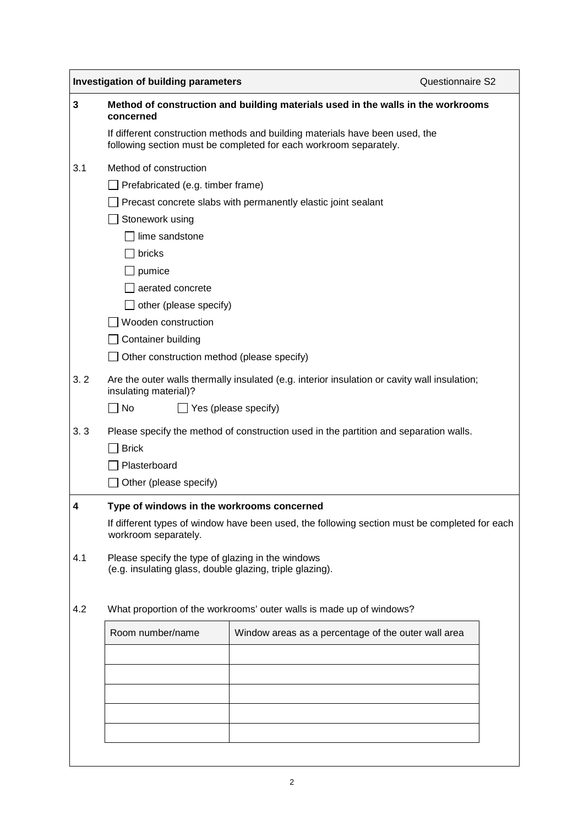|                                               | <b>Investigation of building parameters</b>                                                                                                       |                                                                                               | Questionnaire S2 |  |  |  |
|-----------------------------------------------|---------------------------------------------------------------------------------------------------------------------------------------------------|-----------------------------------------------------------------------------------------------|------------------|--|--|--|
| 3                                             | Method of construction and building materials used in the walls in the workrooms<br>concerned                                                     |                                                                                               |                  |  |  |  |
|                                               | If different construction methods and building materials have been used, the<br>following section must be completed for each workroom separately. |                                                                                               |                  |  |  |  |
| 3.1                                           | Method of construction                                                                                                                            |                                                                                               |                  |  |  |  |
|                                               | $\Box$ Prefabricated (e.g. timber frame)                                                                                                          |                                                                                               |                  |  |  |  |
|                                               | Precast concrete slabs with permanently elastic joint sealant                                                                                     |                                                                                               |                  |  |  |  |
|                                               | Stonework using                                                                                                                                   |                                                                                               |                  |  |  |  |
|                                               | lime sandstone                                                                                                                                    |                                                                                               |                  |  |  |  |
|                                               |                                                                                                                                                   |                                                                                               |                  |  |  |  |
|                                               |                                                                                                                                                   |                                                                                               |                  |  |  |  |
|                                               |                                                                                                                                                   |                                                                                               |                  |  |  |  |
|                                               |                                                                                                                                                   |                                                                                               |                  |  |  |  |
|                                               |                                                                                                                                                   |                                                                                               |                  |  |  |  |
| <b>Container building</b>                     |                                                                                                                                                   |                                                                                               |                  |  |  |  |
|                                               |                                                                                                                                                   |                                                                                               |                  |  |  |  |
| 3.2                                           | Are the outer walls thermally insulated (e.g. interior insulation or cavity wall insulation;                                                      |                                                                                               |                  |  |  |  |
|                                               | $\Box$ No<br>$\Box$ Yes (please specify)                                                                                                          |                                                                                               |                  |  |  |  |
| 3.3                                           | Please specify the method of construction used in the partition and separation walls.                                                             |                                                                                               |                  |  |  |  |
|                                               | <b>Brick</b>                                                                                                                                      |                                                                                               |                  |  |  |  |
|                                               |                                                                                                                                                   |                                                                                               |                  |  |  |  |
| $\Box$ Plasterboard<br>Other (please specify) |                                                                                                                                                   |                                                                                               |                  |  |  |  |
| 4                                             | Type of windows in the workrooms concerned                                                                                                        |                                                                                               |                  |  |  |  |
|                                               | workroom separately.                                                                                                                              | If different types of window have been used, the following section must be completed for each |                  |  |  |  |
| 4.1                                           | Please specify the type of glazing in the windows<br>(e.g. insulating glass, double glazing, triple glazing).                                     |                                                                                               |                  |  |  |  |
| 4.2                                           | What proportion of the workrooms' outer walls is made up of windows?                                                                              |                                                                                               |                  |  |  |  |
|                                               | Room number/name                                                                                                                                  | Window areas as a percentage of the outer wall area                                           |                  |  |  |  |
|                                               |                                                                                                                                                   |                                                                                               |                  |  |  |  |
|                                               |                                                                                                                                                   |                                                                                               |                  |  |  |  |
|                                               |                                                                                                                                                   |                                                                                               |                  |  |  |  |
|                                               |                                                                                                                                                   |                                                                                               |                  |  |  |  |
|                                               |                                                                                                                                                   |                                                                                               |                  |  |  |  |
|                                               |                                                                                                                                                   |                                                                                               |                  |  |  |  |

2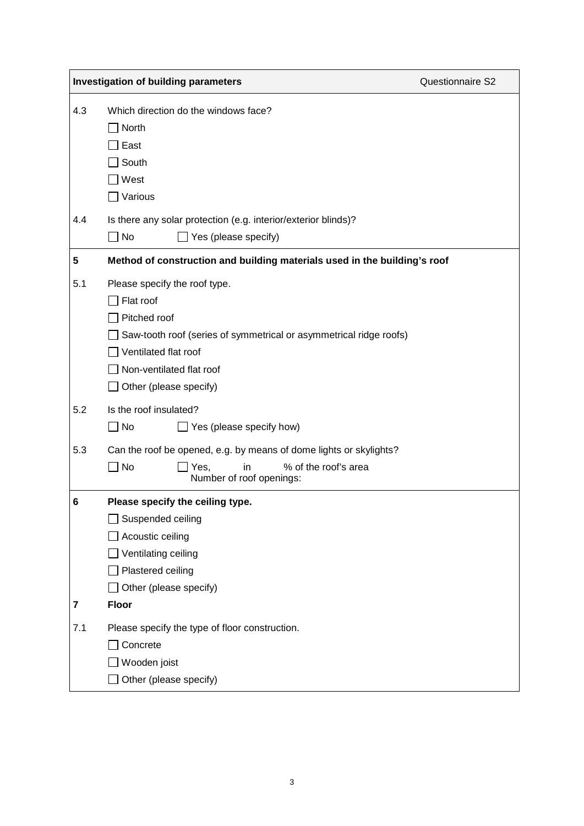|     | <b>Investigation of building parameters</b>                                                                                                                                                                           | Questionnaire S2 |  |
|-----|-----------------------------------------------------------------------------------------------------------------------------------------------------------------------------------------------------------------------|------------------|--|
| 4.3 | Which direction do the windows face?<br>North<br>East<br>South<br>West<br>Various                                                                                                                                     |                  |  |
| 4.4 | Is there any solar protection (e.g. interior/exterior blinds)?<br>No<br>Yes (please specify)                                                                                                                          |                  |  |
| 5   | Method of construction and building materials used in the building's roof                                                                                                                                             |                  |  |
| 5.1 | Please specify the roof type.<br>Flat roof<br>Pitched roof<br>Saw-tooth roof (series of symmetrical or asymmetrical ridge roofs)<br>Ventilated flat roof<br>$\Box$ Non-ventilated flat roof<br>Other (please specify) |                  |  |
| 5.2 | Is the roof insulated?<br>$\Box$ Yes (please specify how)<br>$\Box$ No                                                                                                                                                |                  |  |
| 5.3 | Can the roof be opened, e.g. by means of dome lights or skylights?<br>$\Box$ No<br>% of the roof's area<br>Yes,<br>in<br>Number of roof openings:                                                                     |                  |  |
| 6   | Please specify the ceiling type.<br>Suspended ceiling<br>Acoustic ceiling<br>Ventilating ceiling<br>Plastered ceiling<br>Other (please specify)                                                                       |                  |  |
| 7   | <b>Floor</b>                                                                                                                                                                                                          |                  |  |
| 7.1 | Please specify the type of floor construction.<br>Concrete<br>Wooden joist<br>Other (please specify)                                                                                                                  |                  |  |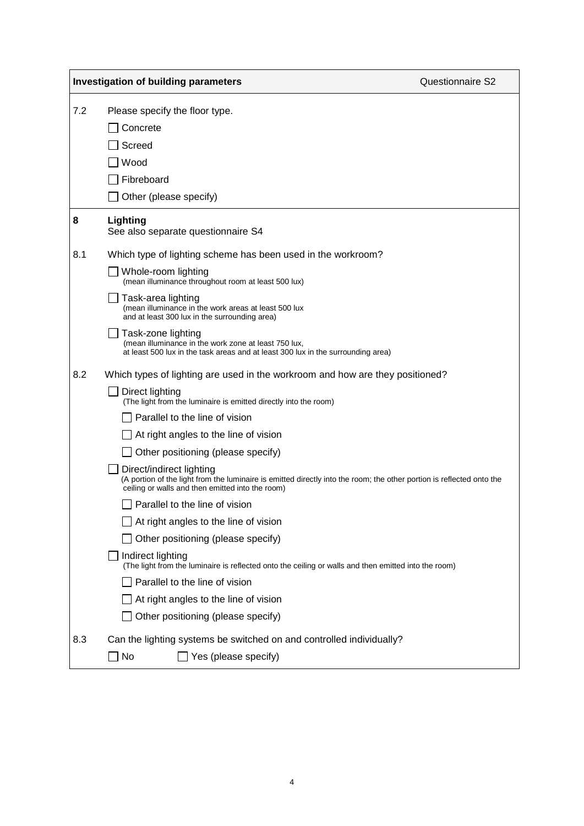|     | <b>Investigation of building parameters</b>                                                                                                                                                                                                                                                                                                                                                                                                                                                                                                                                                                                                                                                                                                                                                                                                                          | Questionnaire S2 |
|-----|----------------------------------------------------------------------------------------------------------------------------------------------------------------------------------------------------------------------------------------------------------------------------------------------------------------------------------------------------------------------------------------------------------------------------------------------------------------------------------------------------------------------------------------------------------------------------------------------------------------------------------------------------------------------------------------------------------------------------------------------------------------------------------------------------------------------------------------------------------------------|------------------|
| 7.2 | Please specify the floor type.<br>Concrete<br>Screed<br>Wood<br>Fibreboard<br>Other (please specify)                                                                                                                                                                                                                                                                                                                                                                                                                                                                                                                                                                                                                                                                                                                                                                 |                  |
| 8   | Lighting<br>See also separate questionnaire S4                                                                                                                                                                                                                                                                                                                                                                                                                                                                                                                                                                                                                                                                                                                                                                                                                       |                  |
| 8.1 | Which type of lighting scheme has been used in the workroom?<br>Whole-room lighting<br>(mean illuminance throughout room at least 500 lux)<br>Task-area lighting<br>(mean illuminance in the work areas at least 500 lux<br>and at least 300 lux in the surrounding area)<br>Task-zone lighting<br>(mean illuminance in the work zone at least 750 lux,<br>at least 500 lux in the task areas and at least 300 lux in the surrounding area)                                                                                                                                                                                                                                                                                                                                                                                                                          |                  |
| 8.2 | Which types of lighting are used in the workroom and how are they positioned?<br>Direct lighting<br>(The light from the luminaire is emitted directly into the room)<br>Parallel to the line of vision<br>$\Box$ At right angles to the line of vision<br>Other positioning (please specify)<br>Direct/indirect lighting<br>(A portion of the light from the luminaire is emitted directly into the room; the other portion is reflected onto the<br>ceiling or walls and then emitted into the room)<br>Parallel to the line of vision<br>At right angles to the line of vision<br>Other positioning (please specify)<br>Indirect lighting<br>(The light from the luminaire is reflected onto the ceiling or walls and then emitted into the room)<br>Parallel to the line of vision<br>At right angles to the line of vision<br>Other positioning (please specify) |                  |
| 8.3 | Can the lighting systems be switched on and controlled individually?<br>Yes (please specify)<br>No                                                                                                                                                                                                                                                                                                                                                                                                                                                                                                                                                                                                                                                                                                                                                                   |                  |